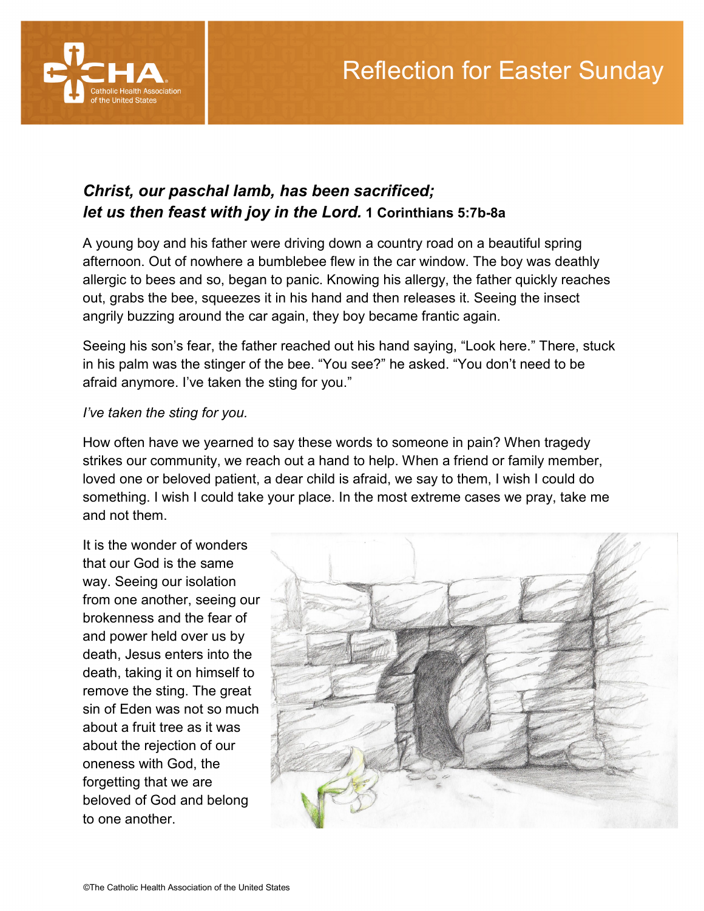

## *Christ, our paschal lamb, has been sacrificed; let us then feast with joy in the Lord.* **1 Corinthians 5:7b-8a**

A young boy and his father were driving down a country road on a beautiful spring afternoon. Out of nowhere a bumblebee flew in the car window. The boy was deathly allergic to bees and so, began to panic. Knowing his allergy, the father quickly reaches out, grabs the bee, squeezes it in his hand and then releases it. Seeing the insect angrily buzzing around the car again, they boy became frantic again.

Seeing his son's fear, the father reached out his hand saying, "Look here." There, stuck in his palm was the stinger of the bee. "You see?" he asked. "You don't need to be afraid anymore. I've taken the sting for you."

## *I've taken the sting for you.*

How often have we yearned to say these words to someone in pain? When tragedy strikes our community, we reach out a hand to help. When a friend or family member, loved one or beloved patient, a dear child is afraid, we say to them, I wish I could do something. I wish I could take your place. In the most extreme cases we pray, take me and not them.

It is the wonder of wonders that our God is the same way. Seeing our isolation from one another, seeing our brokenness and the fear of and power held over us by death, Jesus enters into the death, taking it on himself to remove the sting. The great sin of Eden was not so much about a fruit tree as it was about the rejection of our oneness with God, the forgetting that we are beloved of God and belong to one another.